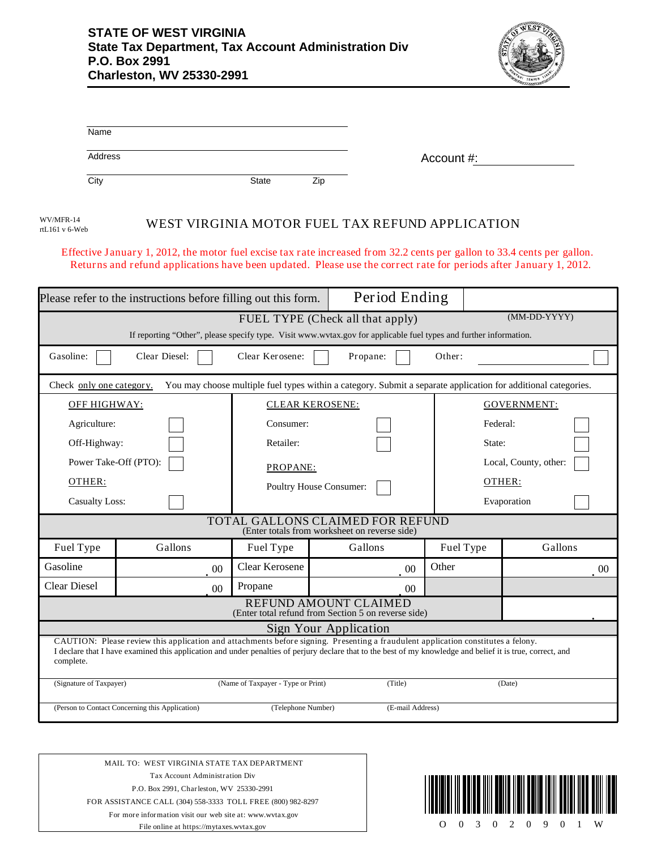

| Name                                                                                                                                       |               |                                    |                                                                                                                                                                                                                                                                                                  |            |                       |  |  |  |
|--------------------------------------------------------------------------------------------------------------------------------------------|---------------|------------------------------------|--------------------------------------------------------------------------------------------------------------------------------------------------------------------------------------------------------------------------------------------------------------------------------------------------|------------|-----------------------|--|--|--|
| <b>Address</b>                                                                                                                             |               |                                    |                                                                                                                                                                                                                                                                                                  | Account #: |                       |  |  |  |
| City                                                                                                                                       |               | <b>State</b>                       | Zip                                                                                                                                                                                                                                                                                              |            |                       |  |  |  |
| WV/MFR-14<br>rtL161 v 6-Web                                                                                                                |               |                                    | WEST VIRGINIA MOTOR FUEL TAX REFUND APPLICATION                                                                                                                                                                                                                                                  |            |                       |  |  |  |
|                                                                                                                                            |               |                                    | Effective January 1, 2012, the motor fuel excise tax rate increased from 32.2 cents per gallon to 33.4 cents per gallon.<br>Returns and refund applications have been updated. Please use the correct rate for periods after January 1, 2012.                                                    |            |                       |  |  |  |
| Please refer to the instructions before filling out this form.                                                                             |               |                                    | Period Ending                                                                                                                                                                                                                                                                                    |            |                       |  |  |  |
|                                                                                                                                            |               |                                    | FUEL TYPE (Check all that apply)<br>If reporting "Other", please specify type. Visit www.wvtax.gov for applicable fuel types and further information.                                                                                                                                            |            | (MM-DD-YYYY)          |  |  |  |
| Gasoline:                                                                                                                                  | Clear Diesel: | Clear Kerosene:                    | Propane:                                                                                                                                                                                                                                                                                         | Other:     |                       |  |  |  |
| You may choose multiple fuel types within a category. Submit a separate application for additional categories.<br>Check only one category. |               |                                    |                                                                                                                                                                                                                                                                                                  |            |                       |  |  |  |
| OFF HIGHWAY:                                                                                                                               |               |                                    | <b>CLEAR KEROSENE:</b>                                                                                                                                                                                                                                                                           |            | <b>GOVERNMENT:</b>    |  |  |  |
| Agriculture:                                                                                                                               |               | Consumer:                          |                                                                                                                                                                                                                                                                                                  |            | Federal:              |  |  |  |
| Off-Highway:                                                                                                                               |               | Retailer:                          |                                                                                                                                                                                                                                                                                                  |            | State:                |  |  |  |
| Power Take-Off (PTO):                                                                                                                      |               |                                    | PROPANE:                                                                                                                                                                                                                                                                                         |            | Local, County, other: |  |  |  |
| OTHER:                                                                                                                                     |               |                                    | Poultry House Consumer:                                                                                                                                                                                                                                                                          |            | OTHER:                |  |  |  |
| <b>Casualty Loss:</b>                                                                                                                      |               |                                    |                                                                                                                                                                                                                                                                                                  |            | Evaporation           |  |  |  |
|                                                                                                                                            |               |                                    | TOTAL GALLONS CLAIMED FOR REFUND<br>(Enter totals from worksheet on reverse side)                                                                                                                                                                                                                |            |                       |  |  |  |
| Fuel Type                                                                                                                                  | Gallons       | Fuel Type                          | Gallons                                                                                                                                                                                                                                                                                          | Fuel Type  | Gallons               |  |  |  |
| Gasoline                                                                                                                                   |               | Clear Kerosene<br>00               | 00                                                                                                                                                                                                                                                                                               | Other      | $00\,$                |  |  |  |
| <b>Clear Diesel</b>                                                                                                                        |               | Propane<br>00                      | 00                                                                                                                                                                                                                                                                                               |            |                       |  |  |  |
|                                                                                                                                            |               |                                    | REFUND AMOUNT CLAIMED<br>(Enter total refund from Section 5 on reverse side)                                                                                                                                                                                                                     |            |                       |  |  |  |
|                                                                                                                                            |               |                                    | Sign Your Application                                                                                                                                                                                                                                                                            |            |                       |  |  |  |
| complete.                                                                                                                                  |               |                                    | CAUTION: Please review this application and attachments before signing. Presenting a fraudulent application constitutes a felony.<br>I declare that I have examined this application and under penalties of perjury declare that to the best of my knowledge and belief it is true, correct, and |            |                       |  |  |  |
| (Signature of Taxpayer)                                                                                                                    |               | (Name of Taxpayer - Type or Print) | (Title)                                                                                                                                                                                                                                                                                          |            | (Date)                |  |  |  |

(Person to Contact Concerning this Application) (Telephone Number) (E-mail Address)

MAIL TO: WEST VIRGINIA STATE TAX DEPARTMENT Tax Account Administration Div P.O. Box 2991, Charleston, WV 25330-2991 FOR ASSISTANCE CALL (304) 558-3333 TOLL FREE (800) 982-8297 For more information visit our web site at: www.wvtax.gov

File online at https://mytaxes.wvtax.gov